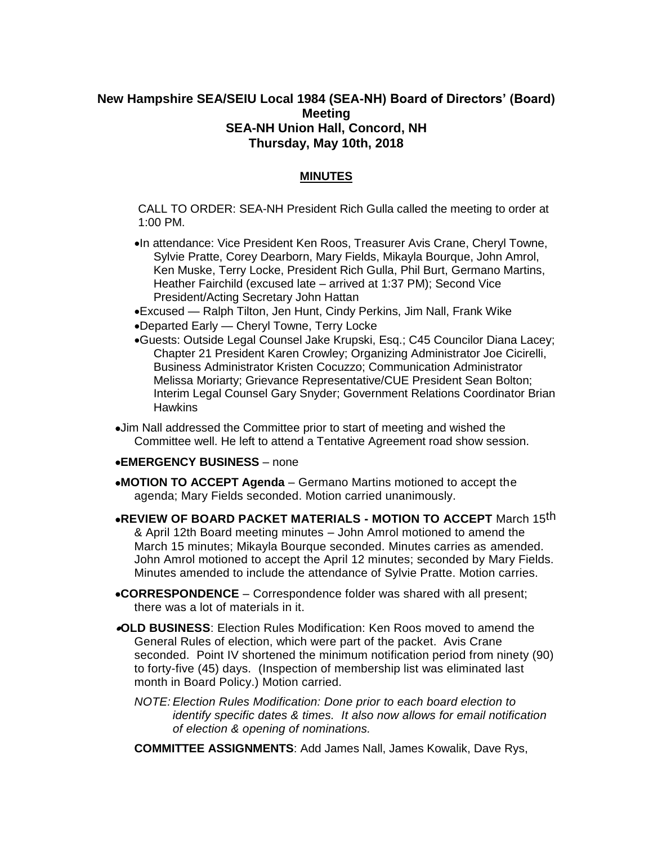## **New Hampshire SEA/SEIU Local 1984 (SEA-NH) Board of Directors' (Board) Meeting SEA-NH Union Hall, Concord, NH Thursday, May 10th, 2018**

## **MINUTES**

CALL TO ORDER: SEA-NH President Rich Gulla called the meeting to order at 1:00 PM.

In attendance: Vice President Ken Roos, Treasurer Avis Crane, Cheryl Towne, Sylvie Pratte, Corey Dearborn, Mary Fields, Mikayla Bourque, John Amrol, Ken Muske, Terry Locke, President Rich Gulla, Phil Burt, Germano Martins, Heather Fairchild (excused late – arrived at 1:37 PM); Second Vice President/Acting Secretary John Hattan

Excused — Ralph Tilton, Jen Hunt, Cindy Perkins, Jim Nall, Frank Wike Departed Early — Cheryl Towne, Terry Locke

- Guests: Outside Legal Counsel Jake Krupski, Esq.; C45 Councilor Diana Lacey; Chapter 21 President Karen Crowley; Organizing Administrator Joe Cicirelli, Business Administrator Kristen Cocuzzo; Communication Administrator Melissa Moriarty; Grievance Representative/CUE President Sean Bolton; Interim Legal Counsel Gary Snyder; Government Relations Coordinator Brian **Hawkins**
- Jim Nall addressed the Committee prior to start of meeting and wished the Committee well. He left to attend a Tentative Agreement road show session.

## **EMERGENCY BUSINESS** – none

- **MOTION TO ACCEPT Agenda** Germano Martins motioned to accept the agenda; Mary Fields seconded. Motion carried unanimously.
- **REVIEW OF BOARD PACKET MATERIALS - MOTION TO ACCEPT** March 15th & April 12th Board meeting minutes – John Amrol motioned to amend the March 15 minutes; Mikayla Bourque seconded. Minutes carries as amended. John Amrol motioned to accept the April 12 minutes; seconded by Mary Fields. Minutes amended to include the attendance of Sylvie Pratte. Motion carries.
- **CORRESPONDENCE** Correspondence folder was shared with all present; there was a lot of materials in it.
- **OLD BUSINESS**: Election Rules Modification: Ken Roos moved to amend the General Rules of election, which were part of the packet. Avis Crane seconded. Point IV shortened the minimum notification period from ninety (90) to forty-five (45) days. (Inspection of membership list was eliminated last month in Board Policy.) Motion carried.
	- *NOTE: Election Rules Modification: Done prior to each board election to identify specific dates & times. It also now allows for email notification of election & opening of nominations.*
	- **COMMITTEE ASSIGNMENTS**: Add James Nall, James Kowalik, Dave Rys,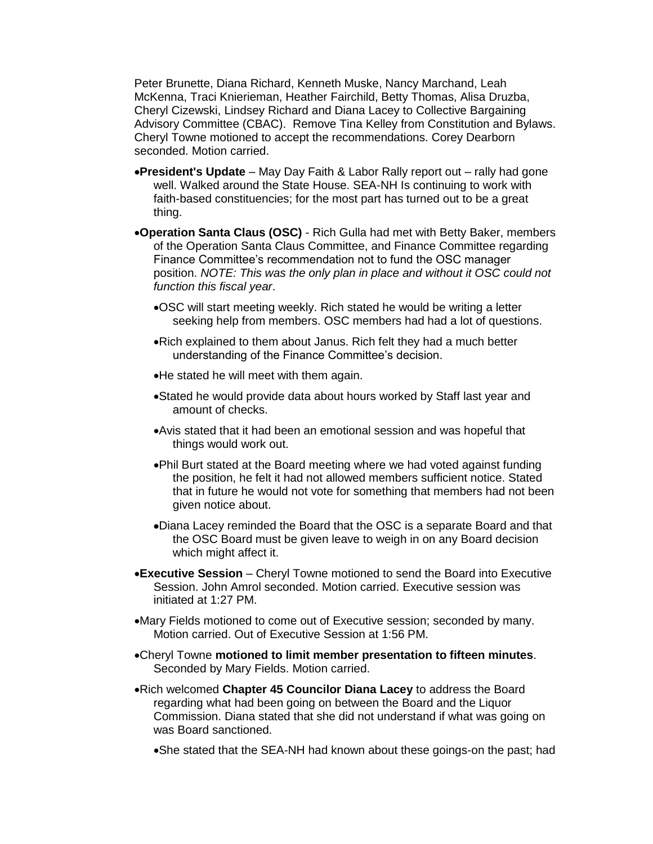Peter Brunette, Diana Richard, Kenneth Muske, Nancy Marchand, Leah McKenna, Traci Knierieman, Heather Fairchild, Betty Thomas, Alisa Druzba, Cheryl Cizewski, Lindsey Richard and Diana Lacey to Collective Bargaining Advisory Committee (CBAC). Remove Tina Kelley from Constitution and Bylaws. Cheryl Towne motioned to accept the recommendations. Corey Dearborn seconded. Motion carried.

- **President's Update** May Day Faith & Labor Rally report out rally had gone well. Walked around the State House. SEA-NH Is continuing to work with faith-based constituencies; for the most part has turned out to be a great thing.
- **Operation Santa Claus (OSC)** Rich Gulla had met with Betty Baker, members of the Operation Santa Claus Committee, and Finance Committee regarding Finance Committee's recommendation not to fund the OSC manager position. *NOTE: This was the only plan in place and without it OSC could not function this fiscal year*.
	- OSC will start meeting weekly. Rich stated he would be writing a letter seeking help from members. OSC members had had a lot of questions.
	- Rich explained to them about Janus. Rich felt they had a much better understanding of the Finance Committee's decision.
	- He stated he will meet with them again.
	- Stated he would provide data about hours worked by Staff last year and amount of checks.
	- Avis stated that it had been an emotional session and was hopeful that things would work out.
	- Phil Burt stated at the Board meeting where we had voted against funding the position, he felt it had not allowed members sufficient notice. Stated that in future he would not vote for something that members had not been given notice about.
	- Diana Lacey reminded the Board that the OSC is a separate Board and that the OSC Board must be given leave to weigh in on any Board decision which might affect it.
- **Executive Session** Cheryl Towne motioned to send the Board into Executive Session. John Amrol seconded. Motion carried. Executive session was initiated at 1:27 PM.
- Mary Fields motioned to come out of Executive session; seconded by many. Motion carried. Out of Executive Session at 1:56 PM.
- Cheryl Towne **motioned to limit member presentation to fifteen minutes**. Seconded by Mary Fields. Motion carried.
- Rich welcomed **Chapter 45 Councilor Diana Lacey** to address the Board regarding what had been going on between the Board and the Liquor Commission. Diana stated that she did not understand if what was going on was Board sanctioned.
	- She stated that the SEA-NH had known about these goings-on the past; had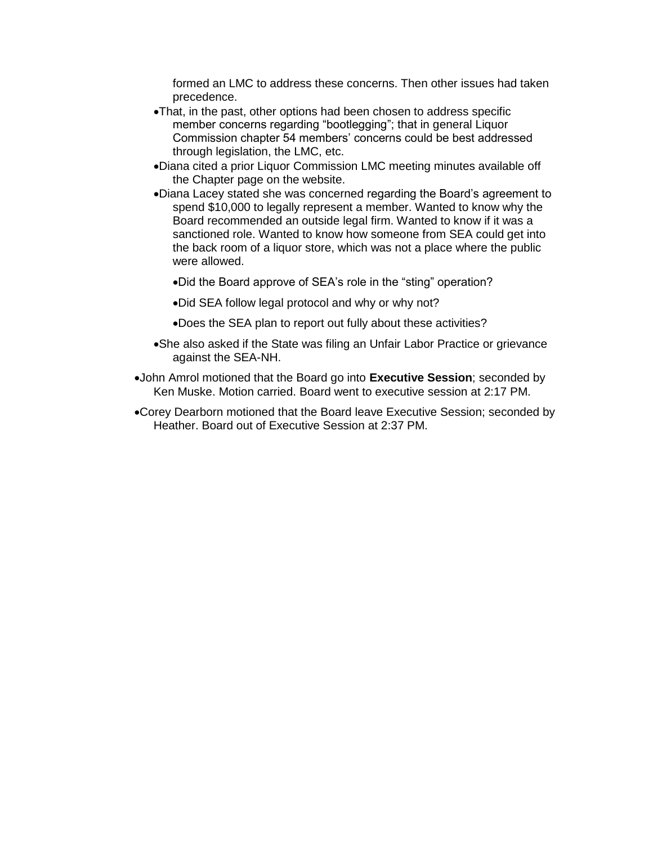formed an LMC to address these concerns. Then other issues had taken precedence.

- That, in the past, other options had been chosen to address specific member concerns regarding "bootlegging"; that in general Liquor Commission chapter 54 members' concerns could be best addressed through legislation, the LMC, etc.
- Diana cited a prior Liquor Commission LMC meeting minutes available off the Chapter page on the website.
- Diana Lacey stated she was concerned regarding the Board's agreement to spend \$10,000 to legally represent a member. Wanted to know why the Board recommended an outside legal firm. Wanted to know if it was a sanctioned role. Wanted to know how someone from SEA could get into the back room of a liquor store, which was not a place where the public were allowed.
	- Did the Board approve of SEA's role in the "sting" operation?
	- Did SEA follow legal protocol and why or why not?
	- Does the SEA plan to report out fully about these activities?
- She also asked if the State was filing an Unfair Labor Practice or grievance against the SEA-NH.
- John Amrol motioned that the Board go into **Executive Session**; seconded by Ken Muske. Motion carried. Board went to executive session at 2:17 PM.
- Corey Dearborn motioned that the Board leave Executive Session; seconded by Heather. Board out of Executive Session at 2:37 PM.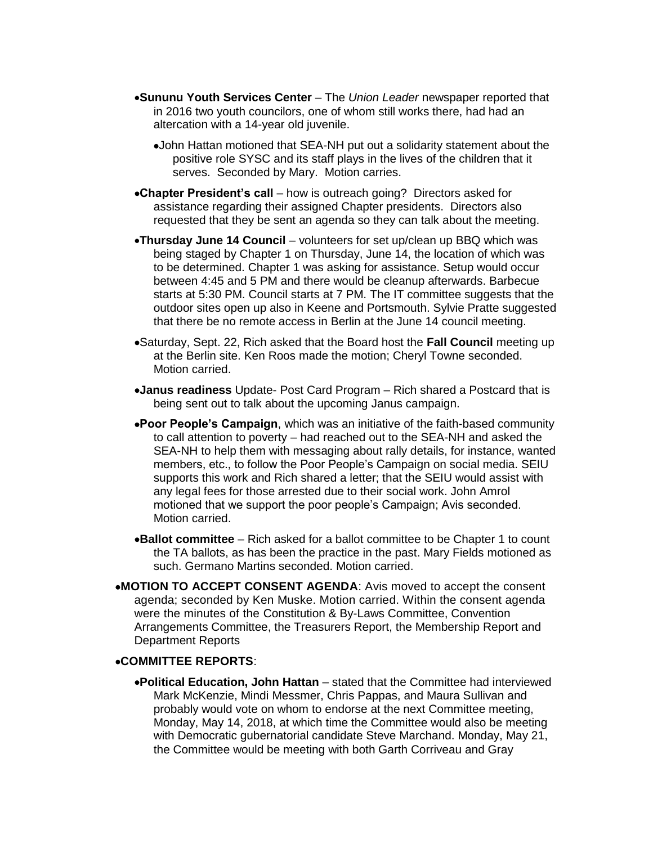- **Sununu Youth Services Center** The *Union Leader* newspaper reported that in 2016 two youth councilors, one of whom still works there, had had an altercation with a 14-year old juvenile.
	- John Hattan motioned that SEA-NH put out a solidarity statement about the positive role SYSC and its staff plays in the lives of the children that it serves. Seconded by Mary. Motion carries.
- **Chapter President's call** how is outreach going? Directors asked for assistance regarding their assigned Chapter presidents. Directors also requested that they be sent an agenda so they can talk about the meeting.
- **Thursday June 14 Council** volunteers for set up/clean up BBQ which was being staged by Chapter 1 on Thursday, June 14, the location of which was to be determined. Chapter 1 was asking for assistance. Setup would occur between 4:45 and 5 PM and there would be cleanup afterwards. Barbecue starts at 5:30 PM. Council starts at 7 PM. The IT committee suggests that the outdoor sites open up also in Keene and Portsmouth. Sylvie Pratte suggested that there be no remote access in Berlin at the June 14 council meeting.
- Saturday, Sept. 22, Rich asked that the Board host the **Fall Council** meeting up at the Berlin site. Ken Roos made the motion; Cheryl Towne seconded. Motion carried.
- **Janus readiness** Update- Post Card Program Rich shared a Postcard that is being sent out to talk about the upcoming Janus campaign.
- **Poor People's Campaign**, which was an initiative of the faith-based community to call attention to poverty – had reached out to the SEA-NH and asked the SEA-NH to help them with messaging about rally details, for instance, wanted members, etc., to follow the Poor People's Campaign on social media. SEIU supports this work and Rich shared a letter; that the SEIU would assist with any legal fees for those arrested due to their social work. John Amrol motioned that we support the poor people's Campaign; Avis seconded. Motion carried.
- **Ballot committee** Rich asked for a ballot committee to be Chapter 1 to count the TA ballots, as has been the practice in the past. Mary Fields motioned as such. Germano Martins seconded. Motion carried.
- **MOTION TO ACCEPT CONSENT AGENDA**: Avis moved to accept the consent agenda; seconded by Ken Muske. Motion carried. Within the consent agenda were the minutes of the Constitution & By-Laws Committee, Convention Arrangements Committee, the Treasurers Report, the Membership Report and Department Reports

## **COMMITTEE REPORTS**:

**Political Education, John Hattan** – stated that the Committee had interviewed Mark McKenzie, Mindi Messmer, Chris Pappas, and Maura Sullivan and probably would vote on whom to endorse at the next Committee meeting, Monday, May 14, 2018, at which time the Committee would also be meeting with Democratic gubernatorial candidate Steve Marchand. Monday, May 21, the Committee would be meeting with both Garth Corriveau and Gray